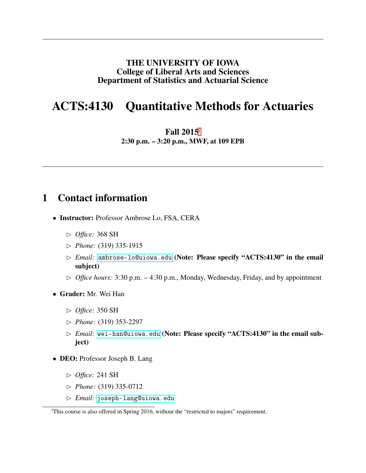#### THE UNIVERSITY OF IOWA College of Liberal Arts and Sciences Department of Statistics and Actuarial Science

## ACTS:4130 Quantitative Methods for Actuaries

Fall 2015[i](#page-0-0)

2:30 p.m. – 3:20 p.m., MWF, at 109 EPB

### 1 Contact information

- Instructor: Professor Ambrose Lo, FSA, CERA
	- ✄ *Office:* 368 SH
	- ✄ *Phone:* (319) 335-1915
	- ✄ *Email:* <ambrose-lo@uiowa.edu> (Note: Please specify "ACTS:4130" in the email subject)
	- $\triangleright$  *Office hours:* 3:30 p.m. 4:30 p.m., Monday, Wednesday, Friday, and by appointment
- Grader: Mr. Wei Han
	- ✄ *Office:* 350 SH
	- ✄ *Phone:* (319) 353-2297
	- ✄ *Email:* <wei-han@uiowa.edu> (Note: Please specify "ACTS:4130" in the email subject)
- DEO: Professor Joseph B. Lang
	- ✄ *Office:* 241 SH
	- ✄ *Phone:* (319) 335-0712
	- ✄ *Email:* <joseph-lang@uiowa.edu>

<span id="page-0-0"></span><sup>&</sup>lt;sup>i</sup>This course is also offered in Spring 2016, without the "restricted to majors" requirement.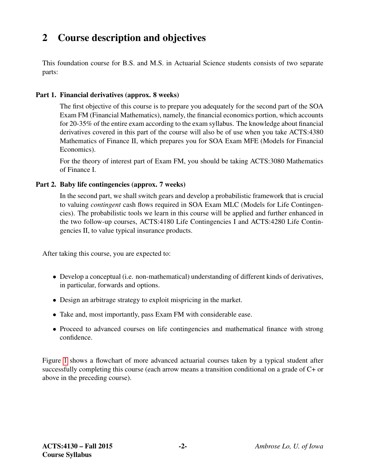# 2 Course description and objectives

This foundation course for B.S. and M.S. in Actuarial Science students consists of two separate parts:

#### Part 1. Financial derivatives (approx. 8 weeks)

The first objective of this course is to prepare you adequately for the second part of the SOA Exam FM (Financial Mathematics), namely, the financial economics portion, which accounts for 20-35% of the entire exam according to the exam syllabus. The knowledge about financial derivatives covered in this part of the course will also be of use when you take ACTS:4380 Mathematics of Finance II, which prepares you for SOA Exam MFE (Models for Financial Economics).

For the theory of interest part of Exam FM, you should be taking ACTS:3080 Mathematics of Finance I.

#### Part 2. Baby life contingencies (approx. 7 weeks)

In the second part, we shall switch gears and develop a probabilistic framework that is crucial to valuing *contingent* cash flows required in SOA Exam MLC (Models for Life Contingencies). The probabilistic tools we learn in this course will be applied and further enhanced in the two follow-up courses, ACTS:4180 Life Contingencies I and ACTS:4280 Life Contingencies II, to value typical insurance products.

After taking this course, you are expected to:

- Develop a conceptual (i.e. non-mathematical) understanding of different kinds of derivatives, in particular, forwards and options.
- Design an arbitrage strategy to exploit mispricing in the market.
- Take and, most importantly, pass Exam FM with considerable ease.
- Proceed to advanced courses on life contingencies and mathematical finance with strong confidence.

Figure [1](#page-2-0) shows a flowchart of more advanced actuarial courses taken by a typical student after successfully completing this course (each arrow means a transition conditional on a grade of C+ or above in the preceding course).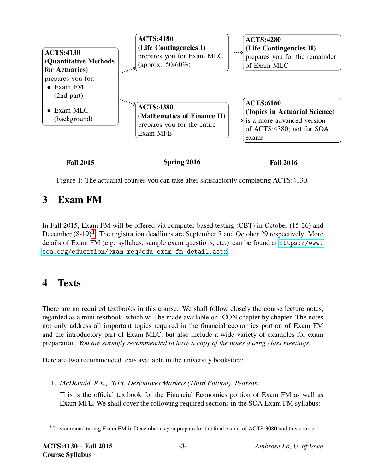

<span id="page-2-0"></span>Figure 1: The actuarial courses you can take after satisfactorily completing ACTS:4130.

## 3 Exam FM

In Fall 2015, Exam FM will be offered via computer-based testing (CBT) in October (15-26) and December  $(8-19)^{ii}$  $(8-19)^{ii}$  $(8-19)^{ii}$ . The registration deadlines are September 7 and October 29 respectively. More details of Exam FM (e.g. syllabus, sample exam questions, etc.) can be found at [https://www.](https://www.soa.org/education/exam-req/edu-exam-fm-detail.aspx) [soa.org/education/exam-req/edu-exam-fm-detail.aspx](https://www.soa.org/education/exam-req/edu-exam-fm-detail.aspx).

### 4 Texts

There are no required textbooks in this course. We shall follow closely the course lecture notes, regarded as a mini-textbook, which will be made available on ICON chapter by chapter. The notes not only address all important topics required in the financial economics portion of Exam FM and the introductory part of Exam MLC, but also include a wide variety of examples for exam preparation. *You are strongly recommended to have a copy of the notes during class meetings.*

Here are two recommended texts available in the university bookstore:

1. *McDonald, R.L., 2013. Derivatives Markets (Third Edition). Pearson.*

This is the official textbook for the Financial Economics portion of Exam FM as well as Exam MFE. We shall cover the following required sections in the SOA Exam FM syllabus:

<span id="page-2-1"></span>iiI recommend taking Exam FM in December as you prepare for the final exams of ACTS:3080 and this course.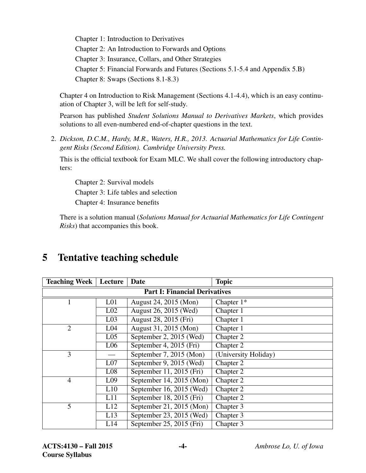Chapter 1: Introduction to Derivatives Chapter 2: An Introduction to Forwards and Options Chapter 3: Insurance, Collars, and Other Strategies Chapter 5: Financial Forwards and Futures (Sections 5.1-5.4 and Appendix 5.B) Chapter 8: Swaps (Sections 8.1-8.3)

Chapter 4 on Introduction to Risk Management (Sections 4.1-4.4), which is an easy continuation of Chapter 3, will be left for self-study.

Pearson has published *Student Solutions Manual to Derivatives Markets*, which provides solutions to all even-numbered end-of-chapter questions in the text.

2. *Dickson, D.C.M., Hardy, M.R., Waters, H.R., 2013. Actuarial Mathematics for Life Contingent Risks (Second Edition). Cambridge University Press.*

This is the official textbook for Exam MLC. We shall cover the following introductory chapters:

Chapter 2: Survival models Chapter 3: Life tables and selection Chapter 4: Insurance benefits

There is a solution manual (*Solutions Manual for Actuarial Mathematics for Life Contingent Risks*) that accompanies this book.

| <b>Teaching Week</b>                 | Lecture         | <b>Date</b>              | <b>Topic</b>         |  |  |  |  |  |  |
|--------------------------------------|-----------------|--------------------------|----------------------|--|--|--|--|--|--|
| <b>Part I: Financial Derivatives</b> |                 |                          |                      |  |  |  |  |  |  |
| $\mathbf{1}$                         | L <sub>01</sub> | August 24, 2015 (Mon)    | Chapter $1*$         |  |  |  |  |  |  |
|                                      | L <sub>02</sub> | August 26, 2015 (Wed)    | Chapter 1            |  |  |  |  |  |  |
|                                      | L <sub>03</sub> | August 28, 2015 (Fri)    | Chapter 1            |  |  |  |  |  |  |
| $\overline{2}$                       | L <sub>04</sub> | August 31, 2015 (Mon)    | Chapter 1            |  |  |  |  |  |  |
|                                      | L <sub>05</sub> | September 2, 2015 (Wed)  | Chapter 2            |  |  |  |  |  |  |
|                                      | L <sub>06</sub> | September 4, 2015 (Fri)  | Chapter 2            |  |  |  |  |  |  |
| 3                                    |                 | September 7, 2015 (Mon)  | (University Holiday) |  |  |  |  |  |  |
|                                      | L <sub>07</sub> | September 9, 2015 (Wed)  | Chapter 2            |  |  |  |  |  |  |
|                                      | L <sub>08</sub> | September 11, 2015 (Fri) | Chapter 2            |  |  |  |  |  |  |
| $\overline{4}$                       | L <sub>09</sub> | September 14, 2015 (Mon) | Chapter 2            |  |  |  |  |  |  |
|                                      | L10             | September 16, 2015 (Wed) | Chapter 2            |  |  |  |  |  |  |
|                                      | L11             | September 18, 2015 (Fri) | Chapter 2            |  |  |  |  |  |  |
| 5                                    | L12             | September 21, 2015 (Mon) | Chapter 3            |  |  |  |  |  |  |
|                                      | L13             | September 23, 2015 (Wed) | Chapter 3            |  |  |  |  |  |  |
|                                      | L14             | September 25, 2015 (Fri) | Chapter 3            |  |  |  |  |  |  |

## 5 Tentative teaching schedule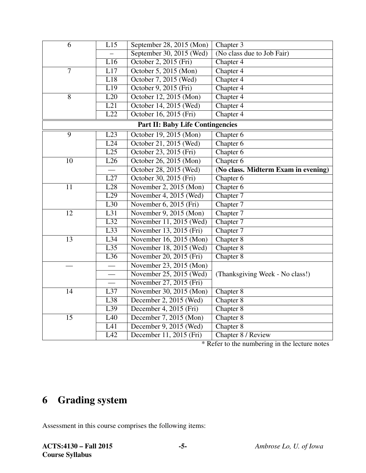| 6                                       | L15              | September 28, 2015 (Mon) | Chapter 3                           |  |  |  |  |  |
|-----------------------------------------|------------------|--------------------------|-------------------------------------|--|--|--|--|--|
|                                         |                  | September 30, 2015 (Wed) | (No class due to Job Fair)          |  |  |  |  |  |
|                                         | L16              | October 2, 2015 (Fri)    | Chapter 4                           |  |  |  |  |  |
| $\overline{7}$                          | L17              | October 5, 2015 (Mon)    | Chapter 4                           |  |  |  |  |  |
|                                         | L18              | October 7, 2015 (Wed)    | Chapter 4                           |  |  |  |  |  |
|                                         | $\overline{L19}$ | October 9, 2015 (Fri)    | Chapter 4                           |  |  |  |  |  |
| $\overline{8}$<br>L20                   |                  | October 12, 2015 (Mon)   | Chapter 4                           |  |  |  |  |  |
|                                         | $\overline{L21}$ | October 14, 2015 (Wed)   | Chapter 4                           |  |  |  |  |  |
|                                         | $\overline{L22}$ | October 16, 2015 (Fri)   | Chapter 4                           |  |  |  |  |  |
| <b>Part II: Baby Life Contingencies</b> |                  |                          |                                     |  |  |  |  |  |
| $\overline{9}$                          | L23              | October 19, 2015 (Mon)   | Chapter 6                           |  |  |  |  |  |
|                                         | L24              | October 21, 2015 (Wed)   | Chapter 6                           |  |  |  |  |  |
|                                         | L25              | October 23, 2015 (Fri)   | Chapter $6$                         |  |  |  |  |  |
| 10                                      | L26              | October 26, 2015 (Mon)   | Chapter 6                           |  |  |  |  |  |
|                                         |                  | October 28, 2015 (Wed)   | (No class. Midterm Exam in evening) |  |  |  |  |  |
|                                         | L27              | October 30, 2015 (Fri)   | Chapter 6                           |  |  |  |  |  |
| 11                                      | L28              | November 2, 2015 (Mon)   | Chapter 6                           |  |  |  |  |  |
|                                         | L29              | November 4, 2015 (Wed)   | Chapter 7                           |  |  |  |  |  |
|                                         | $\overline{L30}$ | November 6, 2015 (Fri)   | Chapter 7                           |  |  |  |  |  |
| $\overline{12}$                         | L31              | November 9, 2015 (Mon)   | Chapter 7                           |  |  |  |  |  |
|                                         | $\overline{L32}$ | November 11, 2015 (Wed)  | Chapter 7                           |  |  |  |  |  |
|                                         | $\overline{L33}$ | November 13, 2015 (Fri)  | Chapter 7                           |  |  |  |  |  |
| 13                                      | L34              | November 16, 2015 (Mon)  | Chapter 8                           |  |  |  |  |  |
|                                         | $\overline{L35}$ | November 18, 2015 (Wed)  | Chapter 8                           |  |  |  |  |  |
|                                         | $\overline{L36}$ | November 20, 2015 (Fri)  | Chapter 8                           |  |  |  |  |  |
|                                         |                  | November 23, 2015 (Mon)  |                                     |  |  |  |  |  |
| $\overline{\phantom{0}}$                |                  | November 25, 2015 (Wed)  | (Thanksgiving Week - No class!)     |  |  |  |  |  |
|                                         | $\frac{1}{1}$    | November 27, 2015 (Fri)  |                                     |  |  |  |  |  |
| 14                                      | L37              | November 30, 2015 (Mon)  | Chapter 8                           |  |  |  |  |  |
|                                         | L38              | December 2, 2015 (Wed)   | Chapter 8                           |  |  |  |  |  |
|                                         | L39              | December 4, 2015 (Fri)   | Chapter 8                           |  |  |  |  |  |
| 15                                      | L40              | December 7, 2015 (Mon)   | Chapter 8                           |  |  |  |  |  |
|                                         | L41              | December 9, 2015 (Wed)   | Chapter 8                           |  |  |  |  |  |
|                                         | $\overline{L42}$ | December 11, 2015 (Fri)  | Chapter 8 / Review                  |  |  |  |  |  |

\* Refer to the numbering in the lecture notes

# 6 Grading system

Assessment in this course comprises the following items: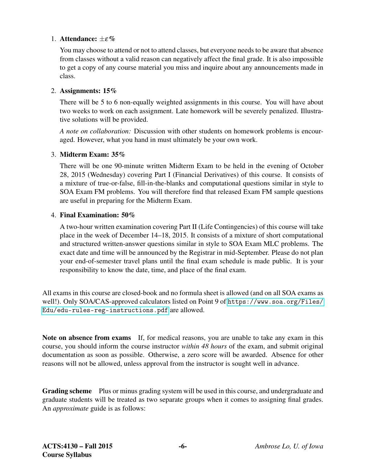#### 1. Attendance:  $\pm \varepsilon \%$

You may choose to attend or not to attend classes, but everyone needs to be aware that absence from classes without a valid reason can negatively affect the final grade. It is also impossible to get a copy of any course material you miss and inquire about any announcements made in class.

#### 2. Assignments: 15%

There will be 5 to 6 non-equally weighted assignments in this course. You will have about two weeks to work on each assignment. Late homework will be severely penalized. Illustrative solutions will be provided.

*A note on collaboration:* Discussion with other students on homework problems is encouraged. However, what you hand in must ultimately be your own work.

#### 3. Midterm Exam: 35%

There will be one 90-minute written Midterm Exam to be held in the evening of October 28, 2015 (Wednesday) covering Part I (Financial Derivatives) of this course. It consists of a mixture of true-or-false, fill-in-the-blanks and computational questions similar in style to SOA Exam FM problems. You will therefore find that released Exam FM sample questions are useful in preparing for the Midterm Exam.

#### 4. Final Examination: 50%

A two-hour written examination covering Part II (Life Contingencies) of this course will take place in the week of December 14–18, 2015. It consists of a mixture of short computational and structured written-answer questions similar in style to SOA Exam MLC problems. The exact date and time will be announced by the Registrar in mid-September. Please do not plan your end-of-semester travel plans until the final exam schedule is made public. It is your responsibility to know the date, time, and place of the final exam.

All exams in this course are closed-book and no formula sheet is allowed (and on all SOA exams as well!). Only SOA/CAS-approved calculators listed on Point 9 of [https://www.soa.org/Files/](https://www.soa.org/Files/Edu/edu-rules-reg-instructions.pdf) [Edu/edu-rules-reg-instructions.pdf](https://www.soa.org/Files/Edu/edu-rules-reg-instructions.pdf) are allowed.

Note on absence from exams If, for medical reasons, you are unable to take any exam in this course, you should inform the course instructor *within 48 hours* of the exam, and submit original documentation as soon as possible. Otherwise, a zero score will be awarded. Absence for other reasons will not be allowed, unless approval from the instructor is sought well in advance.

Grading scheme Plus or minus grading system will be used in this course, and undergraduate and graduate students will be treated as two separate groups when it comes to assigning final grades. An *approximate* guide is as follows: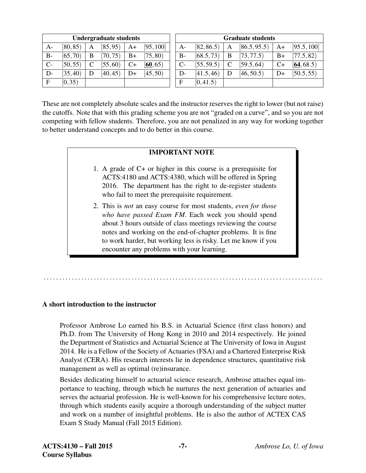| <b>Undergraduate students</b> |          |   |          | <b>Graduate students</b> |           |       |            |             |              |      |             |
|-------------------------------|----------|---|----------|--------------------------|-----------|-------|------------|-------------|--------------|------|-------------|
| $A-$                          | [80, 85) | A | [85, 95] | $A+$                     | [95, 100] | $A-$  | [82, 86.5] | A           | [86.5, 95.5] | $A+$ | [95.5, 100] |
| $B-$                          | [65, 70) | B | (70, 75) | $B+$                     | (75, 80)  | $B -$ | [68.5, 73] | B           | [73, 77.5)   | $B+$ | [77.5, 82)  |
| $C-$                          | [50, 55) |   | (55, 60) | $C+$                     | [60, 65)  | $C-$  | [55, 59.5] | $\mathbf C$ | [59.5, 64]   | $C+$ | [64, 68.5]  |
| D-                            | (35, 40) |   | [40, 45] | $D+$                     | [45, 50)  | D-    | [41.5, 46] | D           | [46, 50.5]   | $D+$ | [50.5, 55]  |
| F                             | [0, 35)  |   |          |                          |           | E     | [0, 41.5)  |             |              |      |             |

These are not completely absolute scales and the instructor reserves the right to lower (but not raise) the cutoffs. Note that with this grading scheme you are not "graded on a curve", and so you are not competing with fellow students. Therefore, you are not penalized in any way for working together to better understand concepts and to do better in this course.

#### IMPORTANT NOTE

- 1. A grade of C+ or higher in this course is a prerequisite for ACTS:4180 and ACTS:4380, which will be offered in Spring 2016. The department has the right to de-register students who fail to meet the prerequisite requirement.
- 2. This is *not* an easy course for most students, *even for those who have passed Exam FM*. Each week you should spend about 3 hours outside of class meetings reviewing the course notes and working on the end-of-chapter problems. It is fine to work harder, but working less is risky. Let me know if you encounter any problems with your learning.

. . . . . . . . . . . . . . . . . . . . . . . . . . . . . . . . . . . . . . . . . . . . . . . . . . . . . . . . . . . . . . . . . . . . . . . . . . . . . . . . . . . . . . . . .

#### A short introduction to the instructor

Professor Ambrose Lo earned his B.S. in Actuarial Science (first class honors) and Ph.D. from The University of Hong Kong in 2010 and 2014 respectively. He joined the Department of Statistics and Actuarial Science at The University of Iowa in August 2014. He is a Fellow of the Society of Actuaries (FSA) and a Chartered Enterprise Risk Analyst (CERA). His research interests lie in dependence structures, quantitative risk management as well as optimal (re)insurance.

Besides dedicating himself to actuarial science research, Ambrose attaches equal importance to teaching, through which he nurtures the next generation of actuaries and serves the actuarial profession. He is well-known for his comprehensive lecture notes, through which students easily acquire a thorough understanding of the subject matter and work on a number of insightful problems. He is also the author of ACTEX CAS Exam S Study Manual (Fall 2015 Edition).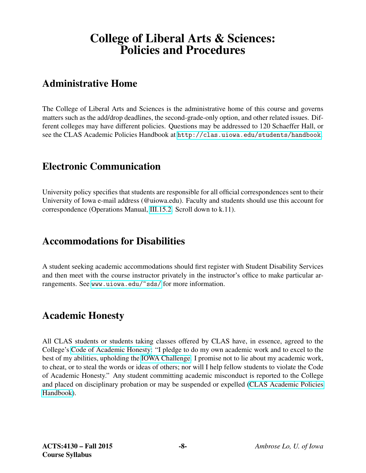# College of Liberal Arts & Sciences: Policies and Procedures

### Administrative Home

The College of Liberal Arts and Sciences is the administrative home of this course and governs matters such as the add/drop deadlines, the second-grade-only option, and other related issues. Different colleges may have different policies. Questions may be addressed to 120 Schaeffer Hall, or see the CLAS Academic Policies Handbook at <http://clas.uiowa.edu/students/handbook>.

### Electronic Communication

University policy specifies that students are responsible for all official correspondences sent to their University of Iowa e-mail address (@uiowa.edu). Faculty and students should use this account for correspondence (Operations Manual, [III.15.2.](http://www.uiowa.edu/~our/opmanual/iii/15.htm#152) Scroll down to k.11).

### Accommodations for Disabilities

A student seeking academic accommodations should first register with Student Disability Services and then meet with the course instructor privately in the instructor's office to make particular arrangements. See <www.uiowa.edu/~sds/> for more information.

### Academic Honesty

All CLAS students or students taking classes offered by CLAS have, in essence, agreed to the College's [Code of Academic Honesty:](http://clas.uiowa.edu/students/handbook/academic-fraud-honor-code) "I pledge to do my own academic work and to excel to the best of my abilities, upholding the [IOWA Challenge.](http://thechallenge.uiowa.edu/) I promise not to lie about my academic work, to cheat, or to steal the words or ideas of others; nor will I help fellow students to violate the Code of Academic Honesty." Any student committing academic misconduct is reported to the College and placed on disciplinary probation or may be suspended or expelled [\(CLAS Academic Policies](http://clas.uiowa.edu/students/handbook) [Handbook\)](http://clas.uiowa.edu/students/handbook).